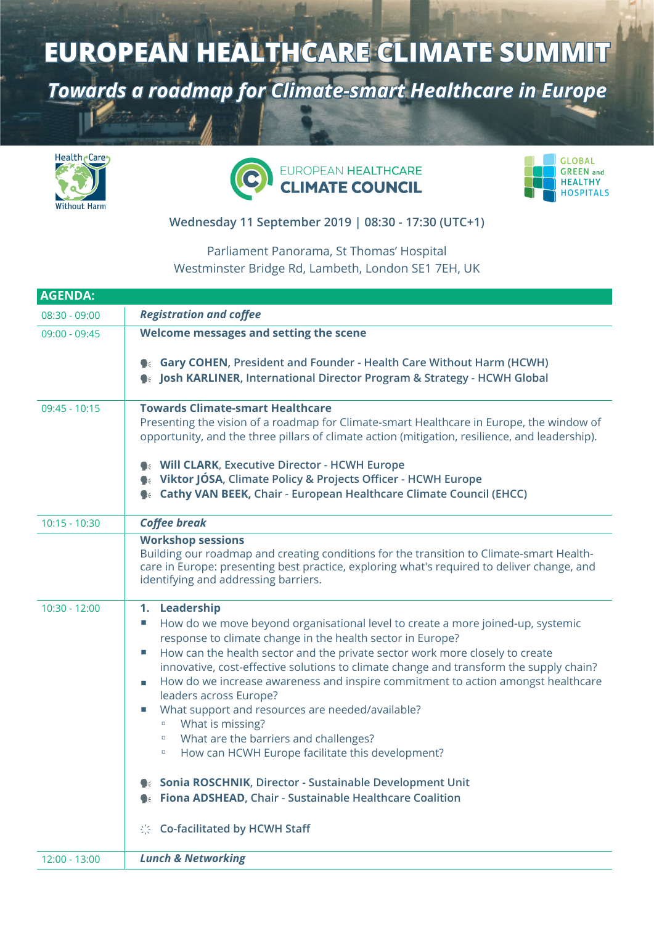## **EUROPEAN HEALTHCARE CLIMATE SUMMIT**

*Towards a roadmap for Climate-smart Healthcare in Europe*







## **Wednesday 11 September 2019 | 08:30 - 17:30 (UTC+1)**

## Parliament Panorama, St Thomas' Hospital Westminster Bridge Rd, Lambeth, London SE1 7EH, UK

| <b>AGENDA:</b>  |                                                                                                                                                                                                                                                                                                                                                                                                                                                                                                                                                                                                                                                                                                                                                                                                                                           |
|-----------------|-------------------------------------------------------------------------------------------------------------------------------------------------------------------------------------------------------------------------------------------------------------------------------------------------------------------------------------------------------------------------------------------------------------------------------------------------------------------------------------------------------------------------------------------------------------------------------------------------------------------------------------------------------------------------------------------------------------------------------------------------------------------------------------------------------------------------------------------|
| $08:30 - 09:00$ | <b>Registration and coffee</b>                                                                                                                                                                                                                                                                                                                                                                                                                                                                                                                                                                                                                                                                                                                                                                                                            |
| $09:00 - 09:45$ | Welcome messages and setting the scene                                                                                                                                                                                                                                                                                                                                                                                                                                                                                                                                                                                                                                                                                                                                                                                                    |
|                 | • Gary COHEN, President and Founder - Health Care Without Harm (HCWH)<br><b>Sex Josh KARLINER, International Director Program &amp; Strategy - HCWH Global</b>                                                                                                                                                                                                                                                                                                                                                                                                                                                                                                                                                                                                                                                                            |
| $09:45 - 10:15$ | <b>Towards Climate-smart Healthcare</b><br>Presenting the vision of a roadmap for Climate-smart Healthcare in Europe, the window of<br>opportunity, and the three pillars of climate action (mitigation, resilience, and leadership).<br>• Will CLARK, Executive Director - HCWH Europe<br>• Viktor JÓSA, Climate Policy & Projects Officer - HCWH Europe<br><b>Cathy VAN BEEK, Chair - European Healthcare Climate Council (EHCC)</b>                                                                                                                                                                                                                                                                                                                                                                                                    |
| $10:15 - 10:30$ | <b>Coffee break</b>                                                                                                                                                                                                                                                                                                                                                                                                                                                                                                                                                                                                                                                                                                                                                                                                                       |
|                 | <b>Workshop sessions</b><br>Building our roadmap and creating conditions for the transition to Climate-smart Health-<br>care in Europe: presenting best practice, exploring what's required to deliver change, and<br>identifying and addressing barriers.                                                                                                                                                                                                                                                                                                                                                                                                                                                                                                                                                                                |
| $10:30 - 12:00$ | 1. Leadership<br>How do we move beyond organisational level to create a more joined-up, systemic<br>×.<br>response to climate change in the health sector in Europe?<br>How can the health sector and the private sector work more closely to create<br>×.<br>innovative, cost-effective solutions to climate change and transform the supply chain?<br>How do we increase awareness and inspire commitment to action amongst healthcare<br>leaders across Europe?<br>What support and resources are needed/available?<br>What is missing?<br>$\Box$<br>What are the barriers and challenges?<br>$\Box$<br>How can HCWH Europe facilitate this development?<br>$\Box$<br>Sonia ROSCHNIK, Director - Sustainable Development Unit<br><b>● Fiona ADSHEAD, Chair - Sustainable Healthcare Coalition</b><br>Co-facilitated by HCWH Staff<br>综 |
| 12:00 - 13:00   | <b>Lunch &amp; Networking</b>                                                                                                                                                                                                                                                                                                                                                                                                                                                                                                                                                                                                                                                                                                                                                                                                             |